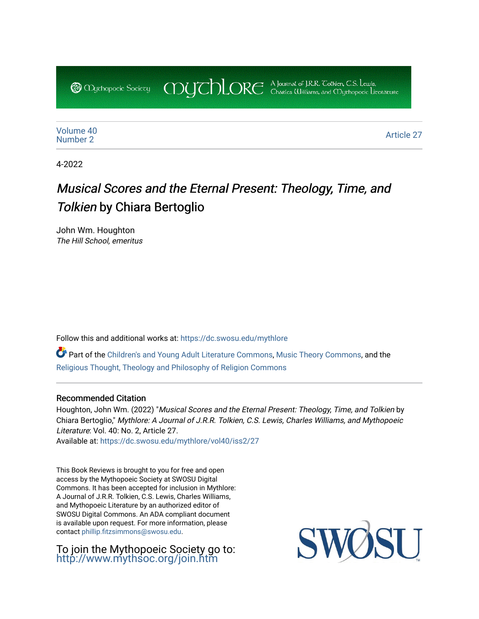COUCHORE A Journal of J.R.R. Colkien, C.S. Lewis,

[Volume 40](https://dc.swosu.edu/mythlore/vol40) [Number 2](https://dc.swosu.edu/mythlore/vol40/iss2) Article 27<br>Number 2

4-2022

# Musical Scores and the Eternal Present: Theology, Time, and Tolkien by Chiara Bertoglio

John Wm. Houghton The Hill School, emeritus

**@** *Oychopoeic* Sociecy

Follow this and additional works at: [https://dc.swosu.edu/mythlore](https://dc.swosu.edu/mythlore?utm_source=dc.swosu.edu%2Fmythlore%2Fvol40%2Fiss2%2F27&utm_medium=PDF&utm_campaign=PDFCoverPages) 

Part of the [Children's and Young Adult Literature Commons,](http://network.bepress.com/hgg/discipline/1289?utm_source=dc.swosu.edu%2Fmythlore%2Fvol40%2Fiss2%2F27&utm_medium=PDF&utm_campaign=PDFCoverPages) [Music Theory Commons,](http://network.bepress.com/hgg/discipline/522?utm_source=dc.swosu.edu%2Fmythlore%2Fvol40%2Fiss2%2F27&utm_medium=PDF&utm_campaign=PDFCoverPages) and the [Religious Thought, Theology and Philosophy of Religion Commons](http://network.bepress.com/hgg/discipline/544?utm_source=dc.swosu.edu%2Fmythlore%2Fvol40%2Fiss2%2F27&utm_medium=PDF&utm_campaign=PDFCoverPages) 

#### Recommended Citation

Houghton, John Wm. (2022) "Musical Scores and the Eternal Present: Theology, Time, and Tolkien by Chiara Bertoglio," Mythlore: A Journal of J.R.R. Tolkien, C.S. Lewis, Charles Williams, and Mythopoeic Literature: Vol. 40: No. 2, Article 27. Available at: [https://dc.swosu.edu/mythlore/vol40/iss2/27](https://dc.swosu.edu/mythlore/vol40/iss2/27?utm_source=dc.swosu.edu%2Fmythlore%2Fvol40%2Fiss2%2F27&utm_medium=PDF&utm_campaign=PDFCoverPages)

This Book Reviews is brought to you for free and open access by the Mythopoeic Society at SWOSU Digital Commons. It has been accepted for inclusion in Mythlore: A Journal of J.R.R. Tolkien, C.S. Lewis, Charles Williams, and Mythopoeic Literature by an authorized editor of SWOSU Digital Commons. An ADA compliant document is available upon request. For more information, please contact [phillip.fitzsimmons@swosu.edu.](mailto:phillip.fitzsimmons@swosu.edu)

To join the Mythopoeic Society go to: <http://www.mythsoc.org/join.htm>

SWQ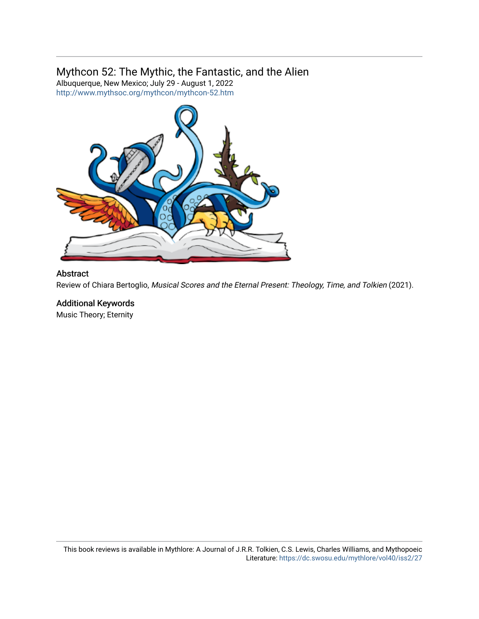## Mythcon 52: The Mythic, the Fantastic, and the Alien

Albuquerque, New Mexico; July 29 - August 1, 2022 <http://www.mythsoc.org/mythcon/mythcon-52.htm>



#### Abstract

Review of Chiara Bertoglio, Musical Scores and the Eternal Present: Theology, Time, and Tolkien (2021).

### Additional Keywords

Music Theory; Eternity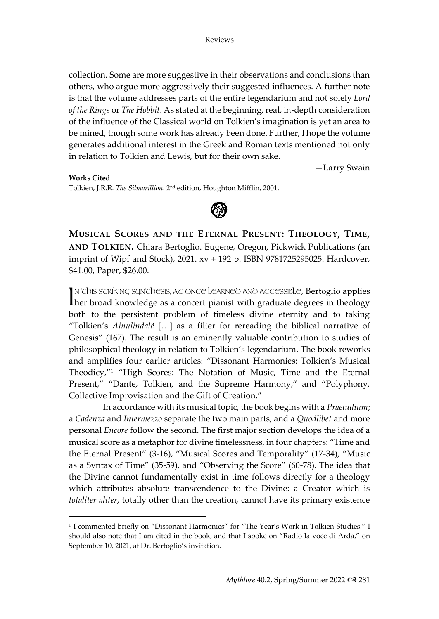collection. Some are more suggestive in their observations and conclusions than others, who argue more aggressively their suggested influences. A further note is that the volume addresses parts of the entire legendarium and not solely *Lord of the Rings* or *The Hobbit*. As stated at the beginning, real, in-depth consideration of the influence of the Classical world on Tolkien's imagination is yet an area to be mined, though some work has already been done. Further, I hope the volume generates additional interest in the Greek and Roman texts mentioned not only in relation to Tolkien and Lewis, but for their own sake.

—Larry Swain

**Works Cited** Tolkien, J.R.R. *The Silmarillion*. 2 nd edition, Houghton Mifflin, 2001.



**MUSICAL SCORES AND THE ETERNAL PRESENT: THEOLOGY, TIME, AND TOLKIEN.** Chiara Bertoglio. Eugene, Oregon, Pickwick Publications (an imprint of Wipf and Stock), 2021. xv + 192 p. ISBN 9781725295025. Hardcover, \$41.00, Paper, \$26.00.

IN This scriking synthesis, at once Learned and accessible, Bertoglio applies IN THE STRIKING SUNT DESIS, AT ONCE LEARNED AND ACCESSIBLE, Bertoglio applies<br>Ther broad knowledge as a concert pianist with graduate degrees in theology both to the persistent problem of timeless divine eternity and to taking "Tolkien's *Ainulindalë* […] as a filter for rereading the biblical narrative of Genesis" (167). The result is an eminently valuable contribution to studies of philosophical theology in relation to Tolkien's legendarium. The book reworks and amplifies four earlier articles: "Dissonant Harmonies: Tolkien's Musical Theodicy,"<sup>1</sup> "High Scores: The Notation of Music, Time and the Eternal Present," "Dante, Tolkien, and the Supreme Harmony," and "Polyphony, Collective Improvisation and the Gift of Creation."

In accordance with its musical topic, the book begins with a *Praeludium*; a *Cadenza* and *Intermezzo* separate the two main parts, and a *Quodlibet* and more personal *Encore* follow the second. The first major section develops the idea of a musical score as a metaphor for divine timelessness, in four chapters: "Time and the Eternal Present" (3-16), "Musical Scores and Temporality" (17-34), "Music as a Syntax of Time" (35-59), and "Observing the Score" (60-78). The idea that the Divine cannot fundamentally exist in time follows directly for a theology which attributes absolute transcendence to the Divine: a Creator which is *totaliter aliter*, totally other than the creation, cannot have its primary existence

<sup>1</sup> I commented briefly on "Dissonant Harmonies" for "The Year's Work in Tolkien Studies." I should also note that I am cited in the book, and that I spoke on "Radio la voce di Arda," on September 10, 2021, at Dr. Bertoglio's invitation.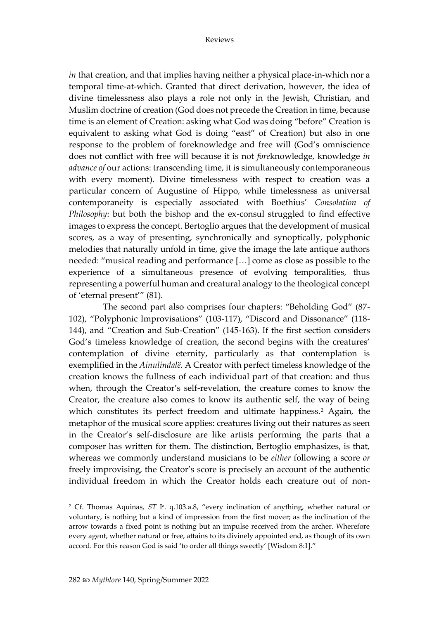*in* that creation, and that implies having neither a physical place-in-which nor a temporal time-at-which. Granted that direct derivation, however, the idea of divine timelessness also plays a role not only in the Jewish, Christian, and Muslim doctrine of creation (God does not precede the Creation in time, because time is an element of Creation: asking what God was doing "before" Creation is equivalent to asking what God is doing "east" of Creation) but also in one response to the problem of foreknowledge and free will (God's omniscience does not conflict with free will because it is not *fore*knowledge, knowledge *in advance of* our actions: transcending time, it is simultaneously contemporaneous with every moment). Divine timelessness with respect to creation was a particular concern of Augustine of Hippo, while timelessness as universal contemporaneity is especially associated with Boethius' *Consolation of Philosophy*: but both the bishop and the ex-consul struggled to find effective images to express the concept. Bertoglio argues that the development of musical scores, as a way of presenting, synchronically and synoptically, polyphonic melodies that naturally unfold in time, give the image the late antique authors needed: "musical reading and performance […] come as close as possible to the experience of a simultaneous presence of evolving temporalities, thus representing a powerful human and creatural analogy to the theological concept of 'eternal present'" (81).

The second part also comprises four chapters: "Beholding God" (87- 102), "Polyphonic Improvisations" (103-117), "Discord and Dissonance" (118- 144), and "Creation and Sub-Creation" (145-163). If the first section considers God's timeless knowledge of creation, the second begins with the creatures' contemplation of divine eternity, particularly as that contemplation is exemplified in the *Ainulindalë.* A Creator with perfect timeless knowledge of the creation knows the fullness of each individual part of that creation: and thus when, through the Creator's self-revelation, the creature comes to know the Creator, the creature also comes to know its authentic self, the way of being which constitutes its perfect freedom and ultimate happiness.<sup>2</sup> Again, the metaphor of the musical score applies: creatures living out their natures as seen in the Creator's self-disclosure are like artists performing the parts that a composer has written for them. The distinction, Bertoglio emphasizes, is that, whereas we commonly understand musicians to be *either* following a score *or* freely improvising, the Creator's score is precisely an account of the authentic individual freedom in which the Creator holds each creature out of non-

<sup>&</sup>lt;sup>2</sup> Cf. Thomas Aquinas, *ST* I<sup>a</sup>. q.103.a.8, "every inclination of anything, whether natural or voluntary, is nothing but a kind of impression from the first mover; as the inclination of the arrow towards a fixed point is nothing but an impulse received from the archer. Wherefore every agent, whether natural or free, attains to its divinely appointed end, as though of its own accord. For this reason God is said 'to order all things sweetly' [Wisdom 8:1]."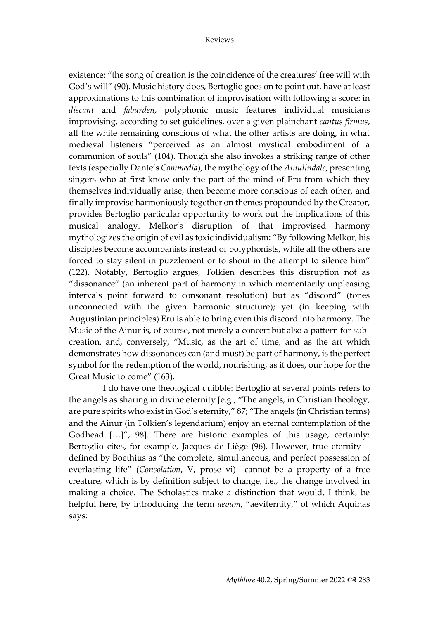existence: "the song of creation is the coincidence of the creatures' free will with God's will" (90). Music history does, Bertoglio goes on to point out, have at least approximations to this combination of improvisation with following a score: in *discant* and *faburden*, polyphonic music features individual musicians improvising, according to set guidelines, over a given plainchant *cantus firmus*, all the while remaining conscious of what the other artists are doing, in what medieval listeners "perceived as an almost mystical embodiment of a communion of souls" (104). Though she also invokes a striking range of other texts (especially Dante's *Commedia*), the mythology of the *Ainulindale*, presenting singers who at first know only the part of the mind of Eru from which they themselves individually arise, then become more conscious of each other, and finally improvise harmoniously together on themes propounded by the Creator*,*  provides Bertoglio particular opportunity to work out the implications of this musical analogy. Melkor's disruption of that improvised harmony mythologizes the origin of evil as toxic individualism: "By following Melkor, his disciples become accompanists instead of polyphonists, while all the others are forced to stay silent in puzzlement or to shout in the attempt to silence him" (122). Notably, Bertoglio argues, Tolkien describes this disruption not as "dissonance" (an inherent part of harmony in which momentarily unpleasing intervals point forward to consonant resolution) but as "discord" (tones unconnected with the given harmonic structure); yet (in keeping with Augustinian principles) Eru is able to bring even this discord into harmony. The Music of the Ainur is, of course, not merely a concert but also a pattern for subcreation, and, conversely, "Music, as the art of time, and as the art which demonstrates how dissonances can (and must) be part of harmony, is the perfect symbol for the redemption of the world, nourishing, as it does, our hope for the Great Music to come" (163).

I do have one theological quibble: Bertoglio at several points refers to the angels as sharing in divine eternity [e.g., "The angels, in Christian theology, are pure spirits who exist in God's eternity," 87; "The angels (in Christian terms) and the Ainur (in Tolkien's legendarium) enjoy an eternal contemplation of the Godhead […]", 98]. There are historic examples of this usage, certainly: Bertoglio cites, for example, Jacques de Liège (96). However, true eternity defined by Boethius as "the complete, simultaneous, and perfect possession of everlasting life" (*Consolation*, V, prose vi)—cannot be a property of a free creature, which is by definition subject to change, i.e., the change involved in making a choice. The Scholastics make a distinction that would, I think, be helpful here, by introducing the term *aevum*, "aeviternity," of which Aquinas says: